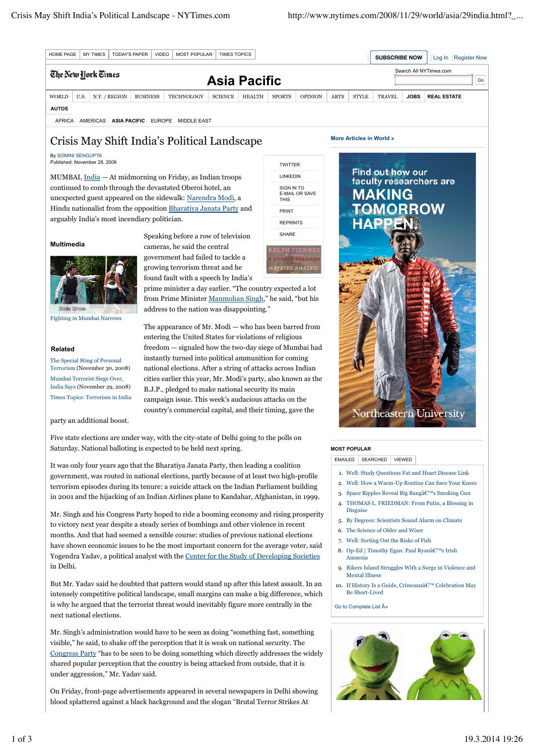| <b>HOME PAGE</b>                                                                        |      | <b>MY TIMES</b> | <b>TODAY'S PAPER</b> | <b>VIDEO</b>    | <b>MOST POPULAR</b> | <b>TIMES TOPICS</b> |        |               |                |             |              | <b>SUBSCRIBE NOW</b> |             | Log In   Register Now |  |
|-----------------------------------------------------------------------------------------|------|-----------------|----------------------|-----------------|---------------------|---------------------|--------|---------------|----------------|-------------|--------------|----------------------|-------------|-----------------------|--|
| Search All NYTimes.com<br>The New York Times<br><b>Asia Pacific</b>                     |      |                 |                      |                 |                     |                     |        |               |                |             |              |                      | Go          |                       |  |
| WORLD                                                                                   | U.S. | N.Y. / REGION   |                      | <b>BUSINESS</b> | <b>TECHNOLOGY</b>   | <b>SCIENCE</b>      | HEALTH | <b>SPORTS</b> | <b>OPINION</b> | <b>ARTS</b> | <b>STYLE</b> | <b>TRAVEL</b>        | <b>JOBS</b> | <b>REAL ESTATE</b>    |  |
| <b>AUTOS</b>                                                                            |      |                 |                      |                 |                     |                     |        |               |                |             |              |                      |             |                       |  |
| <b>AFRICA</b><br><b>EUROPE</b><br>AMERICAS<br><b>ASIA PACIFIC</b><br><b>MIDDLE EAST</b> |      |                 |                      |                 |                     |                     |        |               |                |             |              |                      |             |                       |  |

TWITTER LINKEDIN SIGN IN TO

**THIS** PRINT REPRINTS SHARE

## Crisis May Shift India's Political Landscape

By SOMINI SENGUPTA Published: November 28, 2008

MUMBAI, India — At midmorning on Friday, as Indian troops continued to comb through the devastated Oberoi hotel, an unexpected guest appeared on the sidewalk: Narendra Modi, a Hindu nationalist from the opposition Bharatiya Janata Party and arguably India's most incendiary politician.

### **Multimedia**



Fighting in Mumbai Narrows

### **Related**

The Special Sting of Personal Terrorism (November 30, 2008) Mumbai Terrorist Siege Over, India Says (November 29, 2008) Times Topics: Terrorism in India

party an additional boost.

Speaking before a row of television cameras, he said the central government had failed to tackle a growing terrorism threat and he found fault with a speech by India's

prime minister a day earlier. "The country expected a lot from Prime Minister Manmohan Singh," he said, "but his address to the nation was disappointing."

The appearance of Mr. Modi — who has been barred from entering the United States for violations of religious freedom — signaled how the two-day siege of Mumbai had instantly turned into political ammunition for coming national elections. After a string of attacks across Indian cities earlier this year, Mr. Modi's party, also known as the B.J.P., pledged to make national security its main campaign issue. This week's audacious attacks on the country's commercial capital, and their timing, gave the

Five state elections are under way, with the city-state of Delhi going to the polls on Saturday. National balloting is expected to be held next spring.

It was only four years ago that the Bharatiya Janata Party, then leading a coalition government, was routed in national elections, partly because of at least two high-profile terrorism episodes during its tenure: a suicide attack on the Indian Parliament building in 2001 and the hijacking of an Indian Airlines plane to Kandahar, Afghanistan, in 1999.

Mr. Singh and his Congress Party hoped to ride a booming economy and rising prosperity to victory next year despite a steady series of bombings and other violence in recent months. And that had seemed a sensible course: studies of previous national elections have shown economic issues to be the most important concern for the average voter, said Yogendra Yadav, a political analyst with the Center for the Study of Developing Societies in Delhi.

But Mr. Yadav said he doubted that pattern would stand up after this latest assault. In an intensely competitive political landscape, small margins can make a big difference, which is why he argued that the terrorist threat would inevitably figure more centrally in the next national elections.

Mr. Singh's administration would have to be seen as doing "something fast, something visible," he said, to shake off the perception that it is weak on national security. The Congress Party "has to be seen to be doing something which directly addresses the widely shared popular perception that the country is being attacked from outside, that it is under aggression," Mr. Yadav said.

On Friday, front-page advertisements appeared in several newspapers in Delhi showing blood splattered against a black background and the slogan "Brutal Terror Strikes At



**More Articles in World »**

#### **MOST POPULAR**

EMAILED SEARCHED VIEWED

1. Well: Study Questions Fat and Heart Disease Link

Northeastern University

- 2. Well: How a Warm-Up Routine Can Save Your Knees
- 3. Space Ripples Reveal Big Bangâ€™s Smoking Gun
- THOMAS L. FRIEDMAN: From Putin, a Blessing in Disguise 4.
- 5. By Degrees: Scientists Sound Alarm on Climate
- 6. The Science of Older and Wiser
- 7. Well: Sorting Out the Risks of Fish
- 8. Op-Ed | Timothy Egan: Paul Ryan's Irish Amnesia
- 9. Rikers Island Struggles With a Surge in Violence and Mental Illness
- 10. If History Is a Guide, Crimeans' Celebration May Be Short-Lived

Go to Complete List  $\hat{A}$ 

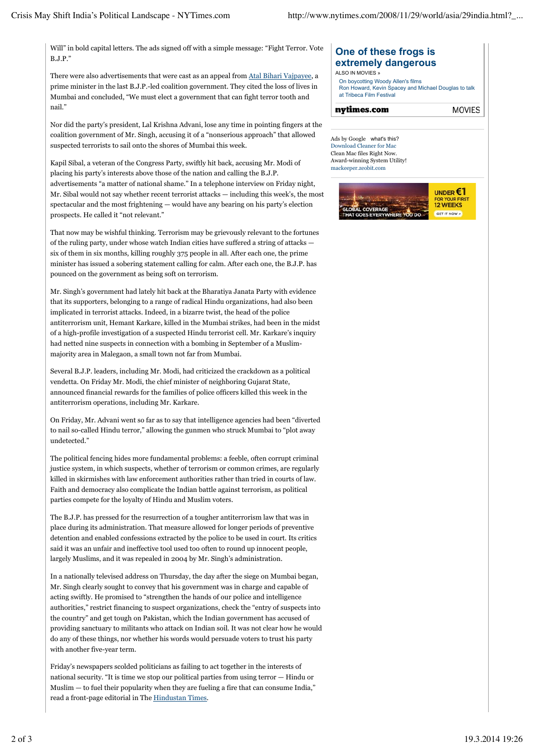Ron Howard, Kevin Spacey and Michael Douglas to talk

**One of these frogs is extremely dangerous**

On boycotting Woody Allen's films

ALSO IN MOVIES »

at Tribeca Film Festival

Will" in bold capital letters. The ads signed off with a simple message: "Fight Terror. Vote B.J.P."

There were also advertisements that were cast as an appeal from Atal Bihari Vajpayee, a prime minister in the last B.J.P.-led coalition government. They cited the loss of lives in Mumbai and concluded, "We must elect a government that can fight terror tooth and nail."

Nor did the party's president, Lal Krishna Advani, lose any time in pointing fingers at the coalition government of Mr. Singh, accusing it of a "nonserious approach" that allowed suspected terrorists to sail onto the shores of Mumbai this week.

Kapil Sibal, a veteran of the Congress Party, swiftly hit back, accusing Mr. Modi of placing his party's interests above those of the nation and calling the B.J.P. advertisements "a matter of national shame." In a telephone interview on Friday night, Mr. Sibal would not say whether recent terrorist attacks — including this week's, the most spectacular and the most frightening — would have any bearing on his party's election prospects. He called it "not relevant."

That now may be wishful thinking. Terrorism may be grievously relevant to the fortunes of the ruling party, under whose watch Indian cities have suffered a string of attacks six of them in six months, killing roughly 375 people in all. After each one, the prime minister has issued a sobering statement calling for calm. After each one, the B.J.P. has pounced on the government as being soft on terrorism.

Mr. Singh's government had lately hit back at the Bharatiya Janata Party with evidence that its supporters, belonging to a range of radical Hindu organizations, had also been implicated in terrorist attacks. Indeed, in a bizarre twist, the head of the police antiterrorism unit, Hemant Karkare, killed in the Mumbai strikes, had been in the midst of a high-profile investigation of a suspected Hindu terrorist cell. Mr. Karkare's inquiry had netted nine suspects in connection with a bombing in September of a Muslimmajority area in Malegaon, a small town not far from Mumbai.

Several B.J.P. leaders, including Mr. Modi, had criticized the crackdown as a political vendetta. On Friday Mr. Modi, the chief minister of neighboring Gujarat State, announced financial rewards for the families of police officers killed this week in the antiterrorism operations, including Mr. Karkare.

On Friday, Mr. Advani went so far as to say that intelligence agencies had been "diverted to nail so-called Hindu terror," allowing the gunmen who struck Mumbai to "plot away undetected."

The political fencing hides more fundamental problems: a feeble, often corrupt criminal justice system, in which suspects, whether of terrorism or common crimes, are regularly killed in skirmishes with law enforcement authorities rather than tried in courts of law. Faith and democracy also complicate the Indian battle against terrorism, as political parties compete for the loyalty of Hindu and Muslim voters.

The B.J.P. has pressed for the resurrection of a tougher antiterrorism law that was in place during its administration. That measure allowed for longer periods of preventive detention and enabled confessions extracted by the police to be used in court. Its critics said it was an unfair and ineffective tool used too often to round up innocent people, largely Muslims, and it was repealed in 2004 by Mr. Singh's administration.

In a nationally televised address on Thursday, the day after the siege on Mumbai began, Mr. Singh clearly sought to convey that his government was in charge and capable of acting swiftly. He promised to "strengthen the hands of our police and intelligence authorities," restrict financing to suspect organizations, check the "entry of suspects into the country" and get tough on Pakistan, which the Indian government has accused of providing sanctuary to militants who attack on Indian soil. It was not clear how he would do any of these things, nor whether his words would persuade voters to trust his party with another five-year term.

Friday's newspapers scolded politicians as failing to act together in the interests of national security. "It is time we stop our political parties from using terror — Hindu or Muslim — to fuel their popularity when they are fueling a fire that can consume India," read a front-page editorial in The Hindustan Times.

# nytimes.com **MOVIES** Ads by Google what's this? Download Cleaner for Mac Clean Mac files Right Now. Award-winning System Utility! mackeeper.zeobit.com **UNDER €1 12 WEEKS** GET IT NOW >